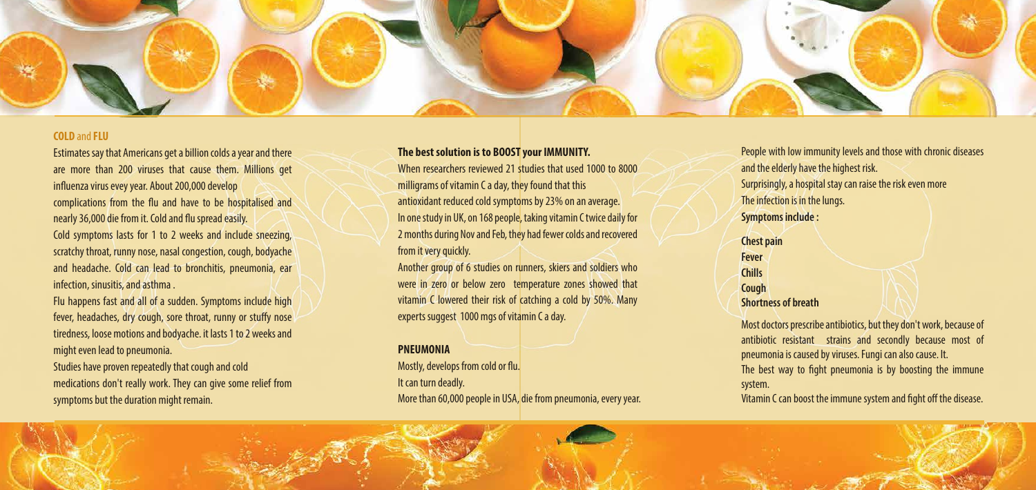

## **COLD** and **FLU**

Estimates say that Americans get a billion colds a year and there are more than 200 viruses that cause them. Millions get influenza virus evey year. About 200,000 develop complications from the flu and have to be hospitalised and nearly 36,000 die from it. Cold and flu spread easily. Cold symptoms lasts for 1 to 2 weeks and include sneezing, scratchy throat, runny nose, nasal congestion, cough, bodyache and headache. Cold can lead to bronchitis, pneumonia, ear infection, sinusitis, and asthma .

Flu happens fast and all of a sudden. Symptoms include high fever, headaches, dry cough, sore throat, runny or stuffy nose tiredness, loose motions and bodyache. it lasts 1 to 2 weeks and might even lead to pneumonia.

> Mostly, develops from cold or flu. It can turn deadly. More than 60,000 people in USA, die from pneumonia, every year.



Studies have proven repeatedly that cough and cold medications don't really work. They can give some relief from symptoms but the duration might remain.

# **The best solution is to BOOST your IMMUNITY.**

Most doctors prescribe antibiotics, but they don't work, because of antibiotic resistant strains and secondly because most of pneumonia is caused by viruses. Fungi can also cause. It. The best way to fight pneumonia is by boosting the immune

When researchers reviewed 21 studies that used 1000 to 8000 milligrams of vitamin C a day, they found that this antioxidant reduced cold symptoms by 23% on an average. In one study in UK, on 168 people, taking vitamin C twice daily for 2 months during Nov and Feb, they had fewer colds and recovered from it very quickly.

> system. Vitamin C can boost the immune system and fight off the disease.

Another group of 6 studies on runners, skiers and soldiers who were in zero or below zero temperature zones showed that vitamin C lowered their risk of catching a cold by 50%. Many experts suggest 1000 mgs of vitamin C a day.

### **PNEUMONIA**

People with low immunity levels and those with chronic diseases and the elderly have the highest risk. Surprisingly, a hospital stay can raise the risk even more The infection is in the lungs. **Symptoms include :**

**Chest pain Fever Chills Cough Shortness of breath**